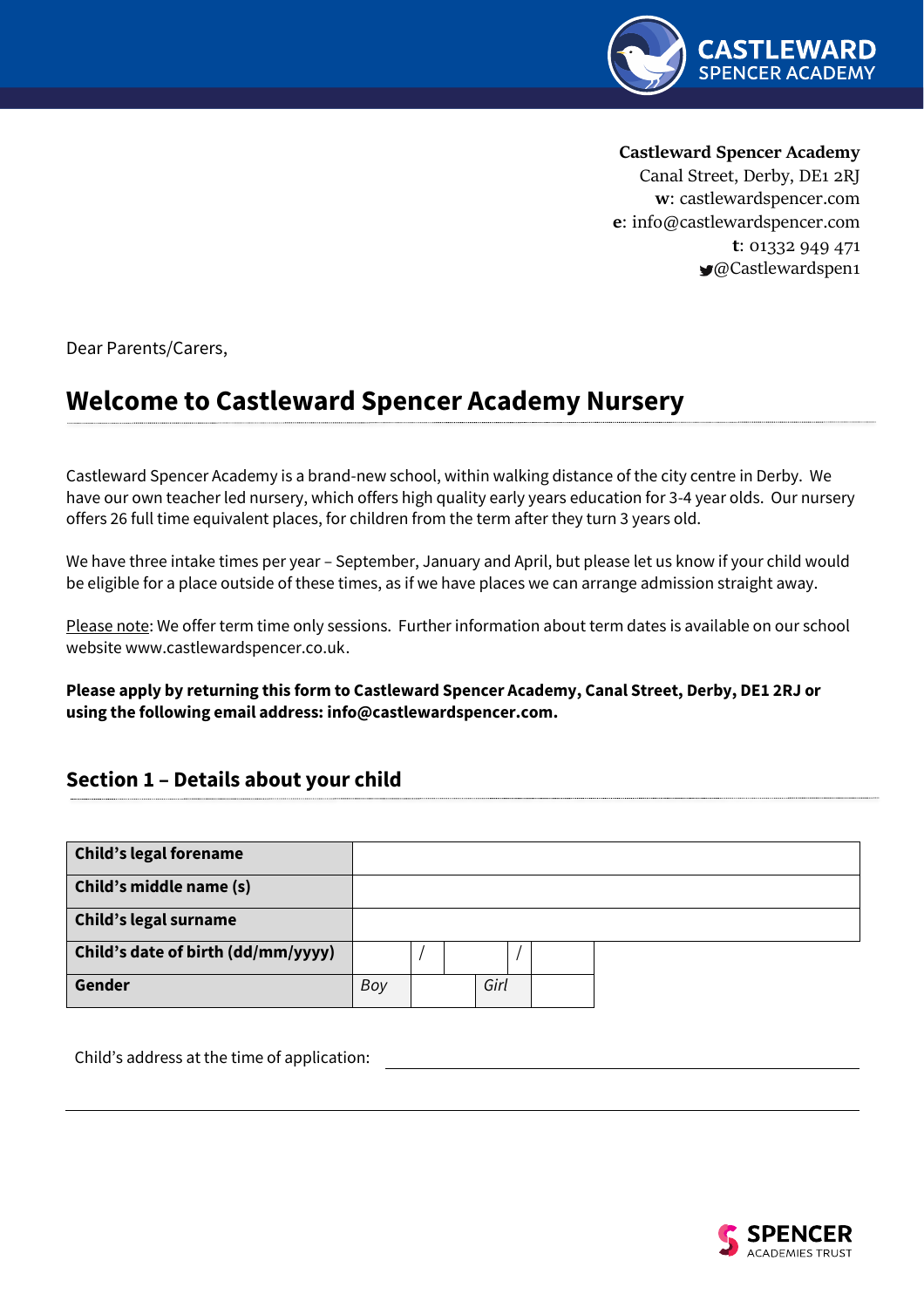

**Castleward Spencer Academy** 

Canal Street, Derby, DE1 2RJ **w**: castlewardspencer.com **e**: [info@castlewardspencer.com](mailto:info@castlewardspencer.com) **t**: 01332 949 471 @Castlewardspen1

Dear Parents/Carers,

# **Welcome to Castleward Spencer Academy Nursery**

Castleward Spencer Academy is a brand-new school, within walking distance of the city centre in Derby. We have our own teacher led nursery, which offers high quality early years education for 3-4 year olds. Our nursery offers 26 full time equivalent places, for children from the term after they turn 3 years old.

We have three intake times per year – September, January and April, but please let us know if your child would be eligible for a place outside of these times, as if we have places we can arrange admission straight away.

Please note: We offer term time only sessions. Further information about term dates is available on our school websit[e www.castlewardspencer.co.uk.](http://www.castlewardspencer.co.uk/)

**Please apply by returning this form to Castleward Spencer Academy, Canal Street, Derby, DE1 2RJ or using the following email address[: info@castlewardspencer.com.](mailto:info@castlewardspencer.com)**

# **Section 1 – Details about your child**

| <b>Child's legal forename</b>      |     |  |      |  |  |
|------------------------------------|-----|--|------|--|--|
| Child's middle name (s)            |     |  |      |  |  |
| <b>Child's legal surname</b>       |     |  |      |  |  |
| Child's date of birth (dd/mm/yyyy) |     |  |      |  |  |
| Gender                             | Boy |  | Girl |  |  |

Child's address at the time of application:

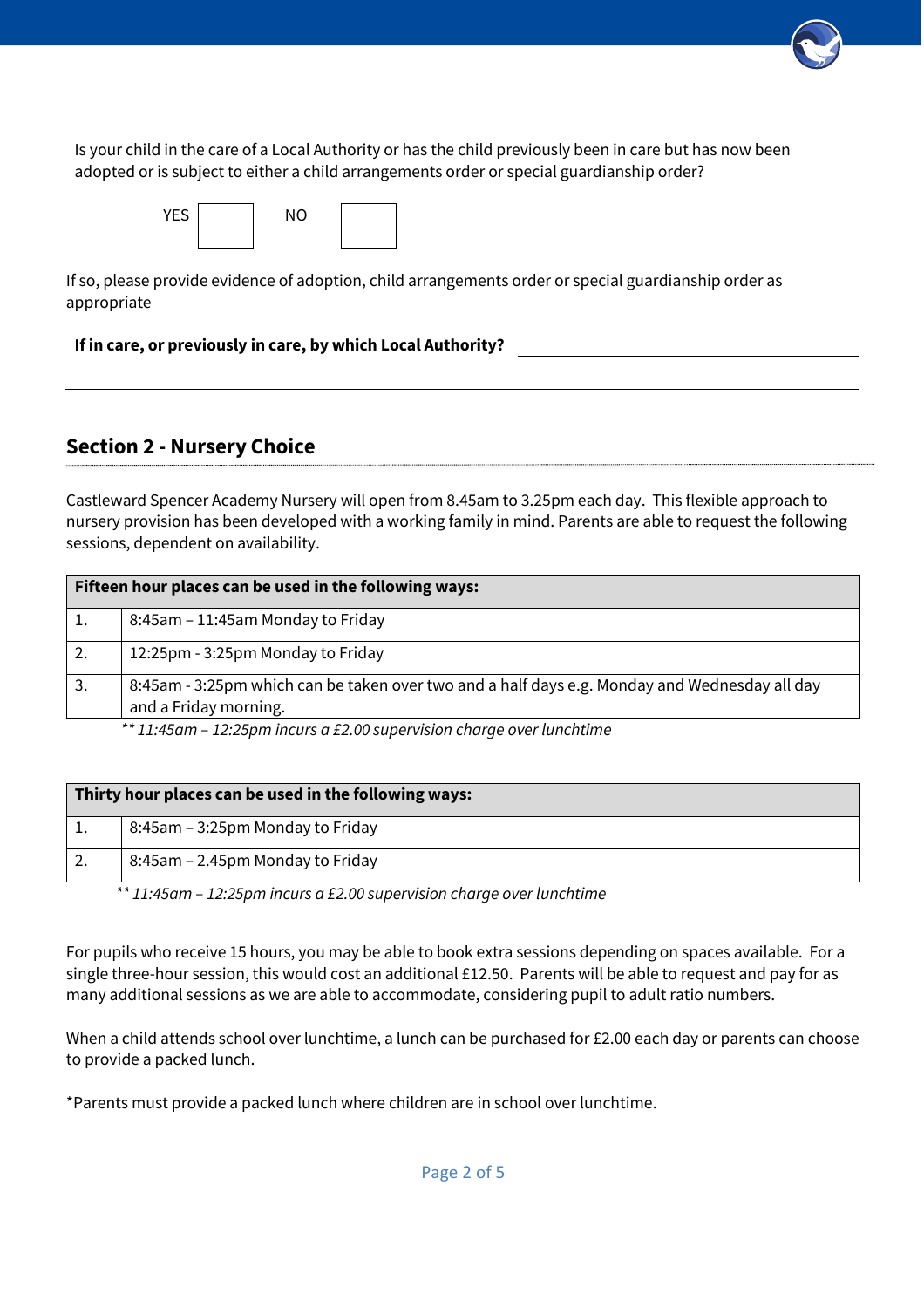Is your child in the care of a Local Authority or has the child previously been in care but has now been adopted or is subject to either a child arrangements order or special guardianship order?

| <b>YES</b> | <b>NO</b> |  |
|------------|-----------|--|
|            |           |  |

If so, please provide evidence of adoption, child arrangements order or special guardianship order as appropriate

# **If in care, or previously in care, by which Local Authority?**

# **Section 2 - Nursery Choice**

Castleward Spencer Academy Nursery will open from 8.45am to 3.25pm each day. This flexible approach to nursery provision has been developed with a working family in mind. Parents are able to request the following sessions, dependent on availability.

|    | Fifteen hour places can be used in the following ways:                                        |
|----|-----------------------------------------------------------------------------------------------|
|    | 8:45am - 11:45am Monday to Friday                                                             |
| 2. | 12:25pm - 3:25pm Monday to Friday                                                             |
| 3. | 8:45am - 3:25pm which can be taken over two and a half days e.g. Monday and Wednesday all day |
|    | and a Friday morning.                                                                         |

*\*\* 11:45am – 12:25pm incurs a £2.00 supervision charge over lunchtime*

| Thirty hour places can be used in the following ways: |
|-------------------------------------------------------|
| 8:45am – 3:25pm Monday to Friday                      |
| 8:45am – 2.45pm Monday to Friday                      |

 *\*\* 11:45am – 12:25pm incurs a £2.00 supervision charge over lunchtime*

For pupils who receive 15 hours, you may be able to book extra sessions depending on spaces available. For a single three-hour session, this would cost an additional £12.50. Parents will be able to request and pay for as many additional sessions as we are able to accommodate, considering pupil to adult ratio numbers.

When a child attends school over lunchtime, a lunch can be purchased for £2.00 each day or parents can choose to provide a packed lunch.

\*Parents must provide a packed lunch where children are in school over lunchtime.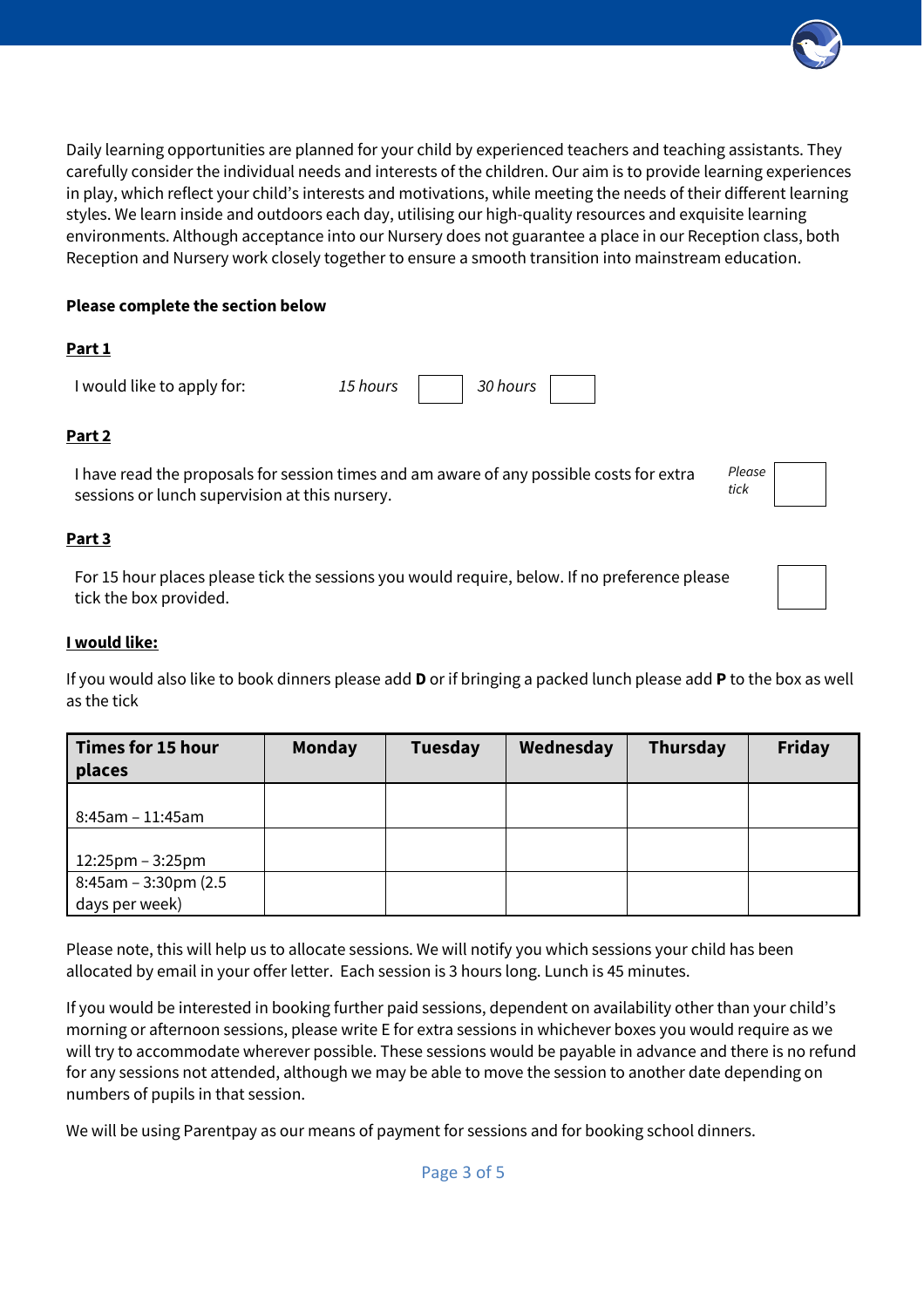Daily learning opportunities are planned for your child by experienced teachers and teaching assistants. They carefully consider the individual needs and interests of the children. Our aim is to provide learning experiences in play, which reflect your child's interests and motivations, while meeting the needs of their different learning styles. We learn inside and outdoors each day, utilising our high-quality resources and exquisite learning environments. Although acceptance into our Nursery does not guarantee a place in our Reception class, both Reception and Nursery work closely together to ensure a smooth transition into mainstream education.

# **Please complete the section below**

# **Part 1**

I would like to apply for: *15 hours 30 hours*

# **Part 2**

I have read the proposals for session times and am aware of any possible costs for extra sessions or lunch supervision at this nursery.

*Please tick*

#### **Part 3**

For 15 hour places please tick the sessions you would require, below. If no preference please tick the box provided.

#### **I would like:**

If you would also like to book dinners please add **D** or if bringing a packed lunch please add **P** to the box as well as the tick

| <b>Times for 15 hour</b><br>places | <b>Monday</b> | <b>Tuesday</b> | Wednesday | Thursday | <b>Friday</b> |
|------------------------------------|---------------|----------------|-----------|----------|---------------|
|                                    |               |                |           |          |               |
| $8:45$ am – 11:45am                |               |                |           |          |               |
|                                    |               |                |           |          |               |
| $12:25$ pm – 3:25pm                |               |                |           |          |               |
| $8:45$ am – 3:30pm (2.5            |               |                |           |          |               |
| days per week)                     |               |                |           |          |               |

Please note, this will help us to allocate sessions. We will notify you which sessions your child has been allocated by email in your offer letter. Each session is 3 hours long. Lunch is 45 minutes.

If you would be interested in booking further paid sessions, dependent on availability other than your child's morning or afternoon sessions, please write E for extra sessions in whichever boxes you would require as we will try to accommodate wherever possible. These sessions would be payable in advance and there is no refund for any sessions not attended, although we may be able to move the session to another date depending on numbers of pupils in that session.

We will be using Parentpay as our means of payment for sessions and for booking school dinners.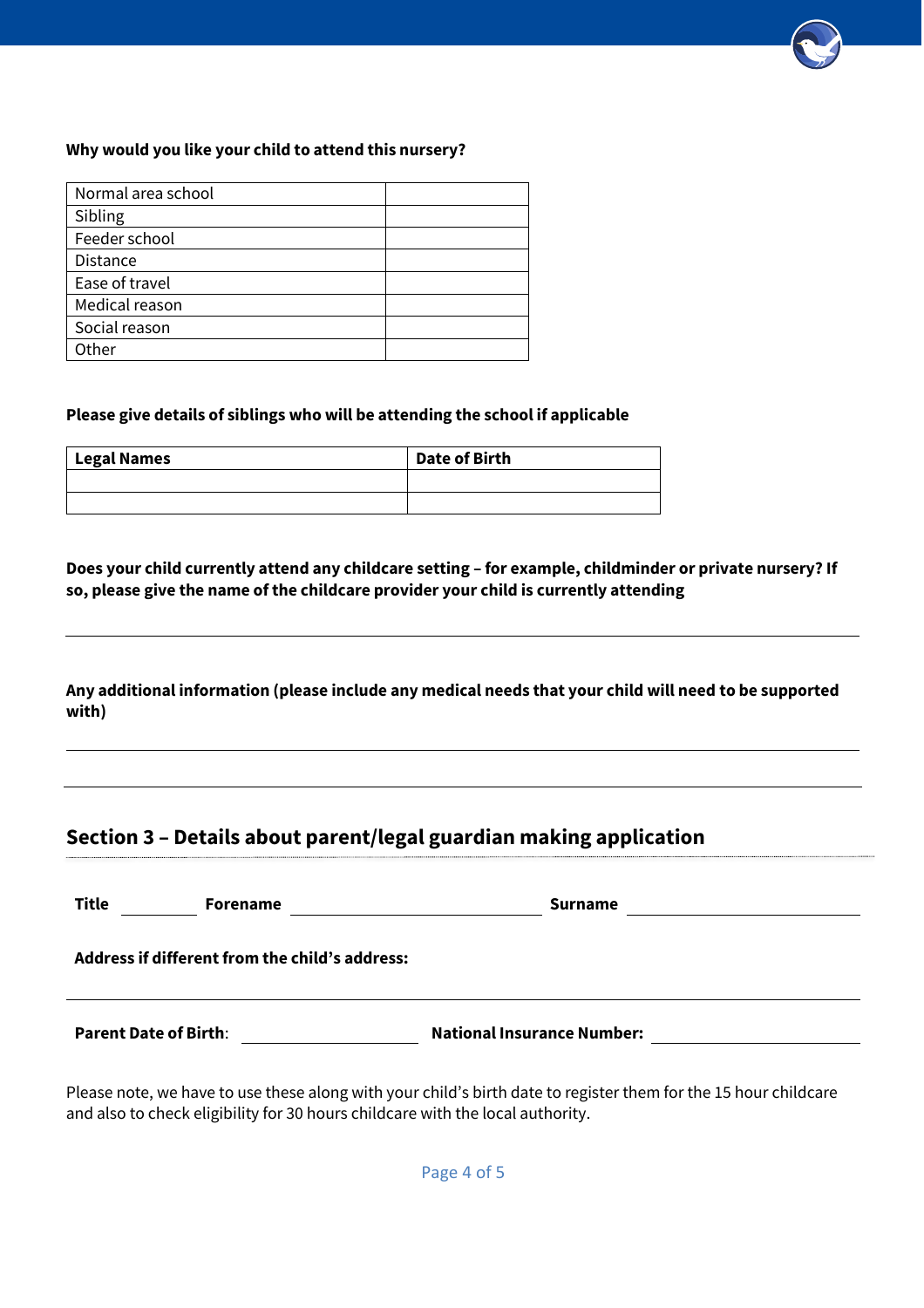#### **Why would you like your child to attend this nursery?**

| Normal area school |  |
|--------------------|--|
| Sibling            |  |
| Feeder school      |  |
| <b>Distance</b>    |  |
| Ease of travel     |  |
| Medical reason     |  |
| Social reason      |  |
| Other              |  |

#### **Please give details of siblings who will be attending the school if applicable**

| Legal Names | Date of Birth |
|-------------|---------------|
|             |               |
|             |               |

**Does your child currently attend any childcare setting – for example, childminder or private nursery? If so, please give the name of the childcare provider your child is currently attending**

**Any additional information (please include any medical needs that your child will need to be supported with)**

# **Section 3 – Details about parent/legal guardian making application**

| <b>Title</b><br><b>Forename</b>                | <b>Surname</b>                    |
|------------------------------------------------|-----------------------------------|
| Address if different from the child's address: |                                   |
| <b>Parent Date of Birth:</b>                   | <b>National Insurance Number:</b> |

Please note, we have to use these along with your child's birth date to register them for the 15 hour childcare and also to check eligibility for 30 hours childcare with the local authority.